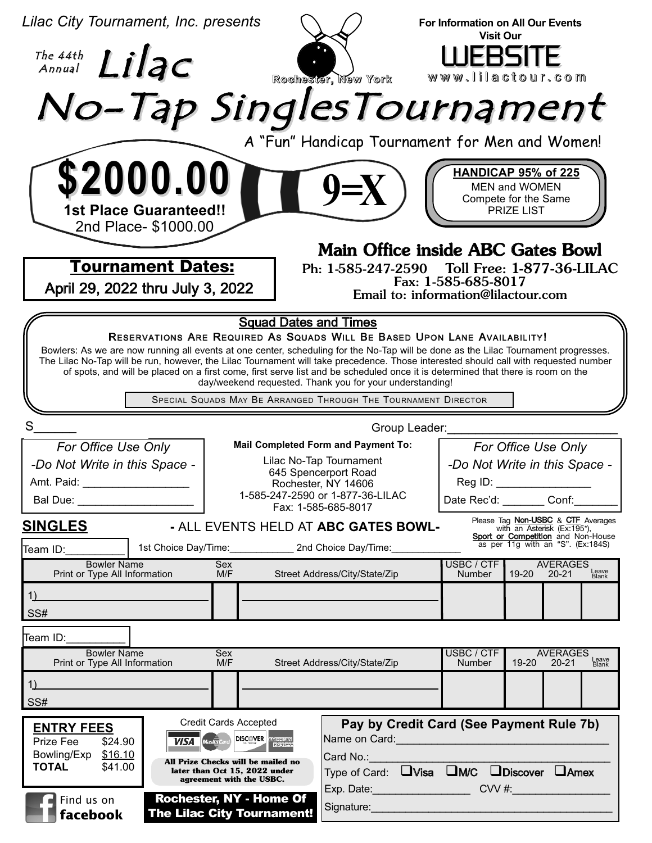| Lilac City Tournament, Inc. presents                                                                                                                                                                                                                                                                                                                                                                                                                                                                                                                                                                                      |                                                                                                                                                                                 | <b>Visit Our</b>     | For Information on All Our Events                                                                                                                   |                |  |
|---------------------------------------------------------------------------------------------------------------------------------------------------------------------------------------------------------------------------------------------------------------------------------------------------------------------------------------------------------------------------------------------------------------------------------------------------------------------------------------------------------------------------------------------------------------------------------------------------------------------------|---------------------------------------------------------------------------------------------------------------------------------------------------------------------------------|----------------------|-----------------------------------------------------------------------------------------------------------------------------------------------------|----------------|--|
| The 44th $Lilac$                                                                                                                                                                                                                                                                                                                                                                                                                                                                                                                                                                                                          | Rochester, New York                                                                                                                                                             | WEBSITE              | www.lilactour.com                                                                                                                                   |                |  |
| No-Tap SinglesTournament<br>A "Fun" Handicap Tournament for Men and Women!                                                                                                                                                                                                                                                                                                                                                                                                                                                                                                                                                |                                                                                                                                                                                 |                      |                                                                                                                                                     |                |  |
| \$2000.00<br><b>1st Place Guaranteed!!</b><br>2nd Place- \$1000.00<br><b>Tournament Dates:</b>                                                                                                                                                                                                                                                                                                                                                                                                                                                                                                                            | $9 = X$<br><b>Main Office inside ABC Gates Bowl</b><br>Ph: 1-585-247-2590                                                                                                       | Fax: 1-585-685-8017  | <b>HANDICAP 95% of 225</b><br>MEN and WOMEN<br>Compete for the Same<br>PRIZE LIST<br>Toll Free: 1-877-36-LILAC                                      |                |  |
| April 29, 2022 thru July 3, 2022<br>Email to: information@lilactour.com<br><b>Squad Dates and Times</b>                                                                                                                                                                                                                                                                                                                                                                                                                                                                                                                   |                                                                                                                                                                                 |                      |                                                                                                                                                     |                |  |
| RESERVATIONS ARE REQUIRED AS SQUADS WILL BE BASED UPON LANE AVAILABILITY!<br>Bowlers: As we are now running all events at one center, scheduling for the No-Tap will be done as the Lilac Tournament progresses.<br>The Lilac No-Tap will be run, however, the Lilac Tournament will take precedence. Those interested should call with requested number<br>of spots, and will be placed on a first come, first serve list and be scheduled once it is determined that there is room on the<br>day/weekend requested. Thank you for your understanding!<br>SPECIAL SQUADS MAY BE ARRANGED THROUGH THE TOURNAMENT DIRECTOR |                                                                                                                                                                                 |                      |                                                                                                                                                     |                |  |
| S<br>Group Leader:                                                                                                                                                                                                                                                                                                                                                                                                                                                                                                                                                                                                        |                                                                                                                                                                                 |                      |                                                                                                                                                     |                |  |
| For Office Use Only<br>-Do Not Write in this Space -<br>Amt. Paid:                                                                                                                                                                                                                                                                                                                                                                                                                                                                                                                                                        | <b>Mail Completed Form and Payment To:</b><br>Lilac No-Tap Tournament<br>645 Spencerport Road<br>Rochester, NY 14606<br>1-585-247-2590 or 1-877-36-LILAC<br>Fax: 1-585-685-8017 |                      | For Office Use Only<br>-Do Not Write in this Space -<br>Reg ID:<br>Date Rec'd: Conf:                                                                |                |  |
| <b>SINGLES</b>                                                                                                                                                                                                                                                                                                                                                                                                                                                                                                                                                                                                            | - ALL EVENTS HELD AT ABC GATES BOWL-                                                                                                                                            |                      | Please Tag <b>Non-USBC</b> & CTF Averages<br>with an Asterisk (Ex:195*),<br>Sport or Competition and Non-House<br>as per 11g with an "S". (Ex:184S) |                |  |
| Team ID:<br><b>Bowler Name</b>                                                                                                                                                                                                                                                                                                                                                                                                                                                                                                                                                                                            | 1st Choice Day/Time: 2nd Choice Day/Time:<br>Sex                                                                                                                                | USBC / CTF           | <b>AVERAGES</b>                                                                                                                                     |                |  |
| Print or Type All Information<br>1)<br>SS#                                                                                                                                                                                                                                                                                                                                                                                                                                                                                                                                                                                | Street Address/City/State/Zip<br>M/F                                                                                                                                            | <b>Number</b>        | 19-20 20-21                                                                                                                                         | Leave<br>Blank |  |
| Team ID:                                                                                                                                                                                                                                                                                                                                                                                                                                                                                                                                                                                                                  |                                                                                                                                                                                 |                      |                                                                                                                                                     |                |  |
| <b>Bowler Name</b><br>Print or Type All Information<br>1)<br>SS#                                                                                                                                                                                                                                                                                                                                                                                                                                                                                                                                                          | Sex<br>M/F<br>Street Address/City/State/Zip                                                                                                                                     | USBC / CTF<br>Number | <b>AVERAGES</b><br>$19 - 20$<br>$20 - 21$                                                                                                           | Leave<br>Blank |  |
| <b>Credit Cards Accepted</b><br>Pay by Credit Card (See Payment Rule 7b)<br><b>ENTRY FEES</b><br><b>VISA</b> Mastercard DISCOVER <b>AMERICAN</b><br>Name on Card: Name of Card:<br>\$24.90<br>Prize Fee<br>\$16.10<br>Bowling/Exp<br>Card No.:<br>All Prize Checks will be mailed no<br><b>TOTAL</b><br>\$41.00<br>later than Oct 15, 2022 under<br>Type of Card: UVisa UM/C UDiscover UAmex<br>agreement with the USBC.<br>Exp. Date: CVV #:<br>Rochester, NY - Home Of<br>Find us on                                                                                                                                    |                                                                                                                                                                                 |                      |                                                                                                                                                     |                |  |
| Signature: Management Communication of the Signature:<br><b>The Lilac City Tournament!</b><br>facebook                                                                                                                                                                                                                                                                                                                                                                                                                                                                                                                    |                                                                                                                                                                                 |                      |                                                                                                                                                     |                |  |